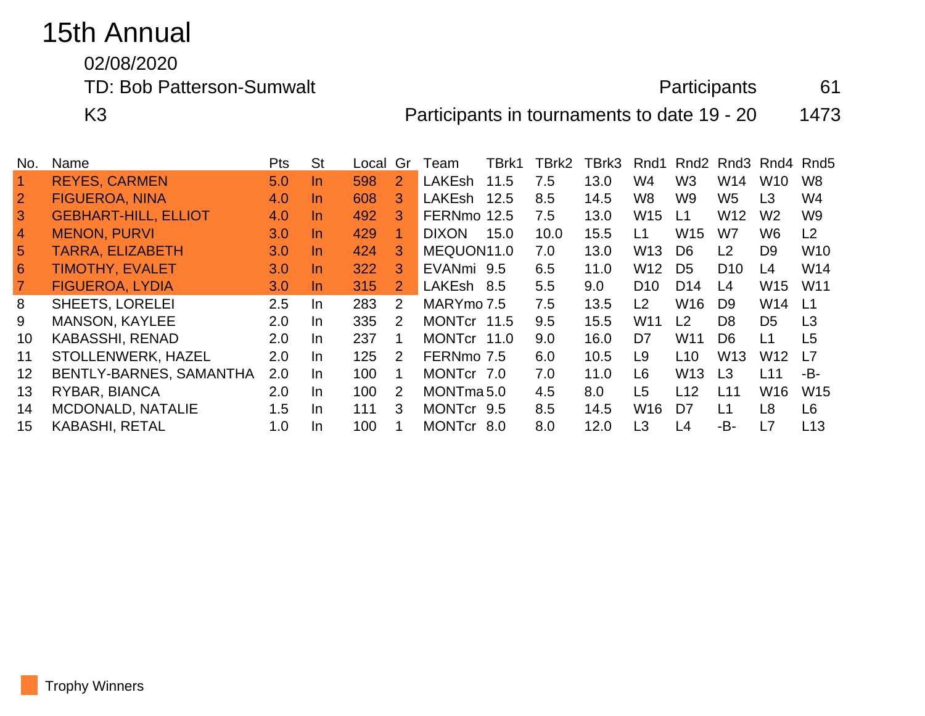## 15th Annual

02/08/2020

TD: Bob Patterson-Sumwalt **Participants** 61

K3 **Participants in tournaments to date 19 - 20** 1473

| No.            | Name                        | Pts | <b>St</b> | Local | Gr             | Team                  | TBrk1 | TBrk2 | TBrk3 | Rnd1            | Rnd <sub>2</sub> | Rnd3            | Rnd4            | Rnd <sub>5</sub> |
|----------------|-----------------------------|-----|-----------|-------|----------------|-----------------------|-------|-------|-------|-----------------|------------------|-----------------|-----------------|------------------|
| $\overline{1}$ | <b>REYES, CARMEN</b>        | 5.0 | In.       | 598   | $\overline{2}$ | <b>LAKEsh</b>         | 11.5  | 7.5   | 13.0  | W4              | W <sub>3</sub>   | W14             | W <sub>10</sub> | W <sub>8</sub>   |
| $\overline{2}$ | <b>FIGUEROA, NINA</b>       | 4.0 | <b>In</b> | 608   | 3              | LAKEsh                | 12.5  | 8.5   | 14.5  | W8              | W9               | W <sub>5</sub>  | L <sub>3</sub>  | W <sub>4</sub>   |
| 3              | <b>GEBHART-HILL, ELLIOT</b> | 4.0 | In.       | 492   | 3              | FERNmo 12.5           |       | 7.5   | 13.0  | <b>W15</b>      | L1               | W12             | W <sub>2</sub>  | W <sub>9</sub>   |
| $\overline{4}$ | <b>MENON, PURVI</b>         | 3.0 | In.       | 429   |                | <b>DIXON</b>          | 15.0  | 10.0  | 15.5  | L1              | W <sub>15</sub>  | W7              | W <sub>6</sub>  | L2               |
| 5              | <b>TARRA, ELIZABETH</b>     | 3.0 | In.       | 424   | 3              | MEQUON11.0            |       | 7.0   | 13.0  | W <sub>13</sub> | D <sub>6</sub>   | L <sub>2</sub>  | D <sub>9</sub>  | W <sub>10</sub>  |
| 6              | <b>TIMOTHY, EVALET</b>      | 3.0 | In.       | 322   | 3              | EVANmi 9.5            |       | 6.5   | 11.0  | W <sub>12</sub> | D <sub>5</sub>   | D <sub>10</sub> | L4              | W14              |
|                | <b>FIGUEROA, LYDIA</b>      | 3.0 | In.       | 315   | $\mathbf{2}$   | LAKEsh 8.5            |       | 5.5   | 9.0   | D <sub>10</sub> | D <sub>14</sub>  | L4              | W <sub>15</sub> | W <sub>11</sub>  |
| 8              | <b>SHEETS, LORELEI</b>      | 2.5 | In.       | 283   | 2              | MARYmo 7.5            |       | 7.5   | 13.5  | L <sub>2</sub>  | W <sub>16</sub>  | D <sub>9</sub>  | W <sub>14</sub> | L1               |
| 9              | <b>MANSON, KAYLEE</b>       | 2.0 | In.       | 335   | 2              | MONTcr 11.5           |       | 9.5   | 15.5  | W <sub>11</sub> | L <sub>2</sub>   | D <sub>8</sub>  | D <sub>5</sub>  | L3               |
| 10             | <b>KABASSHI, RENAD</b>      | 2.0 | In.       | 237   |                | MONTcr 11.0           |       | 9.0   | 16.0  | D7              | W <sub>11</sub>  | D <sub>6</sub>  | L1              | L5               |
| 11             | STOLLENWERK, HAZEL          | 2.0 | $\ln$     | 125   | $\mathcal{P}$  | FERNmo 7.5            |       | 6.0   | 10.5  | L9              | L10              | W13             | W <sub>12</sub> | L7               |
| 12             | BENTLY-BARNES, SAMANTHA     | 2.0 | In.       | 100   |                | MONTcr 7.0            |       | 7.0   | 11.0  | L6              | W <sub>13</sub>  | L3              | L11             | -B-              |
| 13             | RYBAR, BIANCA               | 2.0 | In.       | 100   | 2              | MONTma <sub>5.0</sub> |       | 4.5   | 8.0   | L5              | L12              | L11             | W <sub>16</sub> | <b>W15</b>       |
| 14             | <b>MCDONALD, NATALIE</b>    | 1.5 | $\ln$     | 111   | 3              | MONTcr 9.5            |       | 8.5   | 14.5  | W <sub>16</sub> | D <sub>7</sub>   | L1              | L8              | L <sub>6</sub>   |
| 15             | <b>KABASHI, RETAL</b>       | 1.0 | <b>In</b> | 100   |                | MONTcr 8.0            |       | 8.0   | 12.0  | L <sub>3</sub>  | L4               | -B-             | L7              | L13              |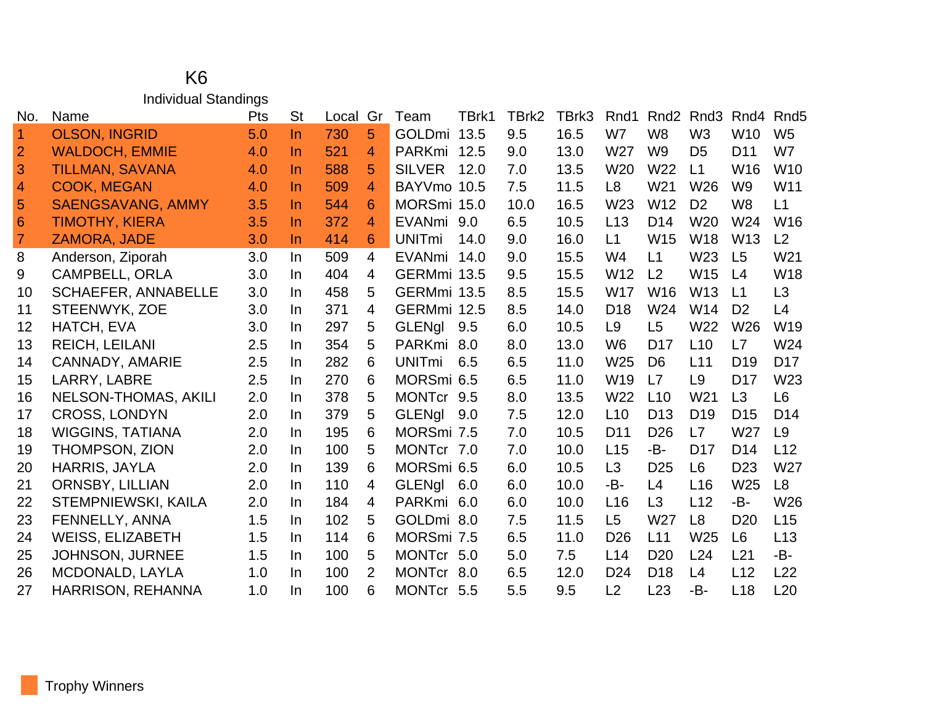## K6 Individual Standings

| No.                  | Name                        | Pts | <b>St</b> | Local | Gr             | Team          | TBrk1 | TBrk2 | TBrk3 | Rnd1            | Rnd <sub>2</sub> | Rnd <sub>3</sub> | Rnd4            | Rnd <sub>5</sub> |
|----------------------|-----------------------------|-----|-----------|-------|----------------|---------------|-------|-------|-------|-----------------|------------------|------------------|-----------------|------------------|
| $\blacktriangleleft$ | <b>OLSON, INGRID</b>        | 5.0 | <b>In</b> | 730   | 5              | <b>GOLDmi</b> | 13.5  | 9.5   | 16.5  | W7              | W <sub>8</sub>   | W <sub>3</sub>   | W <sub>10</sub> | W <sub>5</sub>   |
| $\overline{2}$       | <b>WALDOCH, EMMIE</b>       | 4.0 | <b>In</b> | 521   | 4              | PARKmi        | 12.5  | 9.0   | 13.0  | W27             | W <sub>9</sub>   | D <sub>5</sub>   | D <sub>11</sub> | W7               |
| 3                    | <b>TILLMAN, SAVANA</b>      | 4.0 | <b>In</b> | 588   | 5              | <b>SILVER</b> | 12.0  | 7.0   | 13.5  | W <sub>20</sub> | W22              | L1               | W16             | <b>W10</b>       |
| $\overline{4}$       | <b>COOK, MEGAN</b>          | 4.0 | <b>In</b> | 509   | $\overline{4}$ | BAYVmo 10.5   |       | 7.5   | 11.5  | L <sub>8</sub>  | W21              | W <sub>26</sub>  | W <sub>9</sub>  | W11              |
| 5                    | <b>SAENGSAVANG, AMMY</b>    | 3.5 | <b>In</b> | 544   | 6              | MORSmi 15.0   |       | 10.0  | 16.5  | W <sub>23</sub> | W <sub>12</sub>  | D <sub>2</sub>   | W <sub>8</sub>  | L1               |
| $6\phantom{1}6$      | <b>TIMOTHY, KIERA</b>       | 3.5 | <b>In</b> | 372   | 4              | EVANmi 9.0    |       | 6.5   | 10.5  | L13             | D <sub>14</sub>  | <b>W20</b>       | W24             | W16              |
| $\overline{7}$       | ZAMORA, JADE                | 3.0 | $\ln$     | 414   | 6              | <b>UNITmi</b> | 14.0  | 9.0   | 16.0  | L1              | W15              | W18              | W13             | L2               |
| 8                    | Anderson, Ziporah           | 3.0 | In        | 509   | $\overline{4}$ | <b>EVANmi</b> | 14.0  | 9.0   | 15.5  | W4              | L1               | W23              | L <sub>5</sub>  | W <sub>21</sub>  |
| 9                    | <b>CAMPBELL, ORLA</b>       | 3.0 | In.       | 404   | $\overline{4}$ | GERMmi 13.5   |       | 9.5   | 15.5  | W <sub>12</sub> | L <sub>2</sub>   | W <sub>15</sub>  | L4              | W18              |
| 10                   | <b>SCHAEFER, ANNABELLE</b>  | 3.0 | In.       | 458   | 5              | GERMmi 13.5   |       | 8.5   | 15.5  | <b>W17</b>      | W16              | W <sub>13</sub>  | L1              | L3               |
| 11                   | STEENWYK, ZOE               | 3.0 | In.       | 371   | $\overline{4}$ | GERMmi 12.5   |       | 8.5   | 14.0  | D <sub>18</sub> | W24              | W14              | D <sub>2</sub>  | L4               |
| 12                   | HATCH, EVA                  | 3.0 | In.       | 297   | 5              | <b>GLENgl</b> | 9.5   | 6.0   | 10.5  | L <sub>9</sub>  | L5               | W22              | W26             | W19              |
| 13                   | <b>REICH, LEILANI</b>       | 2.5 | In        | 354   | 5              | PARKmi 8.0    |       | 8.0   | 13.0  | W <sub>6</sub>  | D <sub>17</sub>  | L10              | L7              | W24              |
| 14                   | <b>CANNADY, AMARIE</b>      | 2.5 | In.       | 282   | 6              | <b>UNITmi</b> | 6.5   | 6.5   | 11.0  | W <sub>25</sub> | D <sub>6</sub>   | L11              | D <sub>19</sub> | D <sub>17</sub>  |
| 15                   | LARRY, LABRE                | 2.5 | In.       | 270   | 6              | MORSmi 6.5    |       | 6.5   | 11.0  | W <sub>19</sub> | L7               | L9               | D <sub>17</sub> | W23              |
| 16                   | <b>NELSON-THOMAS, AKILI</b> | 2.0 | In.       | 378   | 5              | MONTcr 9.5    |       | 8.0   | 13.5  | W <sub>22</sub> | L10              | W <sub>21</sub>  | L3              | L <sub>6</sub>   |
| 17                   | <b>CROSS, LONDYN</b>        | 2.0 | In.       | 379   | 5              | <b>GLENgl</b> | 9.0   | 7.5   | 12.0  | L <sub>10</sub> | D <sub>13</sub>  | D <sub>19</sub>  | D <sub>15</sub> | D <sub>14</sub>  |
| 18                   | <b>WIGGINS, TATIANA</b>     | 2.0 | In        | 195   | 6              | MORSmi 7.5    |       | 7.0   | 10.5  | D <sub>11</sub> | D <sub>26</sub>  | L7               | W27             | L <sub>9</sub>   |
| 19                   | THOMPSON, ZION              | 2.0 | In.       | 100   | 5              | MONTcr 7.0    |       | 7.0   | 10.0  | L15             | -B-              | D <sub>17</sub>  | D <sub>14</sub> | L12              |
| 20                   | HARRIS, JAYLA               | 2.0 | In.       | 139   | 6              | MORSmi 6.5    |       | 6.0   | 10.5  | L <sub>3</sub>  | D <sub>25</sub>  | L6               | D <sub>23</sub> | W27              |
| 21                   | <b>ORNSBY, LILLIAN</b>      | 2.0 | In        | 110   | 4              | GLENgl        | 6.0   | 6.0   | 10.0  | -B-             | L4               | L16              | W25             | L <sub>8</sub>   |
| 22                   | STEMPNIEWSKI, KAILA         | 2.0 | In        | 184   | 4              | PARKmi 6.0    |       | 6.0   | 10.0  | L16             | L <sub>3</sub>   | L12              | -B-             | W26              |
| 23                   | FENNELLY, ANNA              | 1.5 | In.       | 102   | 5              | GOLDmi 8.0    |       | 7.5   | 11.5  | L <sub>5</sub>  | W27              | L <sub>8</sub>   | D <sub>20</sub> | L15              |
| 24                   | <b>WEISS, ELIZABETH</b>     | 1.5 | In        | 114   | 6              | MORSmi 7.5    |       | 6.5   | 11.0  | D <sub>26</sub> | L11              | W <sub>25</sub>  | L <sub>6</sub>  | L13              |
| 25                   | <b>JOHNSON, JURNEE</b>      | 1.5 | In.       | 100   | 5              | MONTcr 5.0    |       | 5.0   | 7.5   | L <sub>14</sub> | D <sub>20</sub>  | L24              | L21             | -B-              |
| 26                   | MCDONALD, LAYLA             | 1.0 | In.       | 100   | $\overline{2}$ | <b>MONTcr</b> | 8.0   | 6.5   | 12.0  | D <sub>24</sub> | D <sub>18</sub>  | L4               | L12             | L22              |
| 27                   | HARRISON, REHANNA           | 1.0 | In        | 100   | 6              | MONTcr 5.5    |       | 5.5   | 9.5   | L2              | L23              | -B-              | L18             | L20              |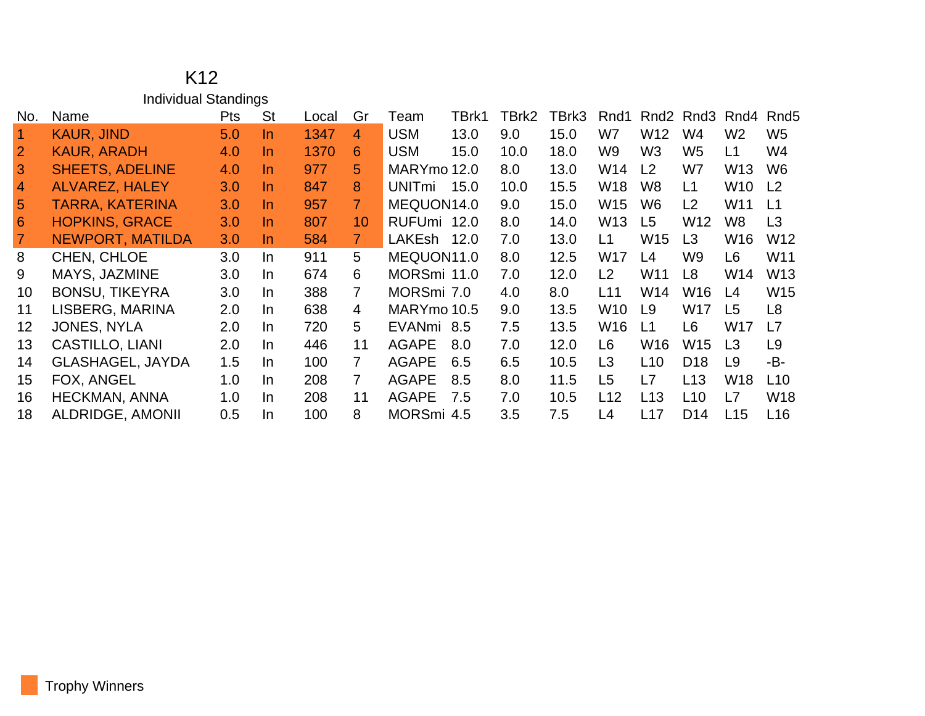|                | K <sub>12</sub>             |     |           |       |                |               |       |       |       |                |                  |                                   |                 |                  |
|----------------|-----------------------------|-----|-----------|-------|----------------|---------------|-------|-------|-------|----------------|------------------|-----------------------------------|-----------------|------------------|
|                | <b>Individual Standings</b> |     |           |       |                |               |       |       |       |                |                  |                                   |                 |                  |
| No.            | Name                        | Pts | <b>St</b> | Local | Gr             | Team          | TBrk1 | TBrk2 | TBrk3 | Rnd1           | Rnd <sub>2</sub> | Rnd <sub>3</sub> Rnd <sub>4</sub> |                 | Rnd <sub>5</sub> |
| $\overline{1}$ | <b>KAUR, JIND</b>           | 5.0 | $\ln$     | 1347  | 4              | <b>USM</b>    | 13.0  | 9.0   | 15.0  | W7             | W12              | W4                                | W <sub>2</sub>  | W <sub>5</sub>   |
| $\overline{2}$ | <b>KAUR, ARADH</b>          | 4.0 | In        | 1370  | 6              | <b>USM</b>    | 15.0  | 10.0  | 18.0  | W9             | W <sub>3</sub>   | W5                                | L1              | W4               |
| 3              | <b>SHEETS, ADELINE</b>      | 4.0 | In.       | 977   | 5              | MARYmo 12.0   |       | 8.0   | 13.0  | W14            | L2               | W7                                | W13             | W <sub>6</sub>   |
| $\overline{4}$ | <b>ALVAREZ, HALEY</b>       | 3.0 | <u>In</u> | 847   | 8              | <b>UNITmi</b> | 15.0  | 10.0  | 15.5  | W18            | W8               | L1                                | W <sub>10</sub> | L <sub>2</sub>   |
| $\sqrt{5}$     | <b>TARRA, KATERINA</b>      | 3.0 | $\ln$     | 957   | $\overline{7}$ | MEQUON14.0    |       | 9.0   | 15.0  | W15            | W6               | L <sub>2</sub>                    | W11             | L1               |
| 6              | <b>HOPKINS, GRACE</b>       | 3.0 | <u>In</u> | 807   | 10             | RUFUmi 12.0   |       | 8.0   | 14.0  | W13            | L5               | W12                               | W8              | L3               |
| $\overline{7}$ | <b>NEWPORT, MATILDA</b>     | 3.0 | In.       | 584   | 7 <sup>1</sup> | LAKEsh        | 12.0  | 7.0   | 13.0  | L1             | W15              | L3                                | W16             | W12              |
| 8              | CHEN, CHLOE                 | 3.0 | In        | 911   | 5              | MEQUON11.0    |       | 8.0   | 12.5  | W17            | L4               | W9                                | L6              | W11              |
| 9              | MAYS, JAZMINE               | 3.0 | In.       | 674   | 6              | MORSmi 11.0   |       | 7.0   | 12.0  | L2             | W11              | L <sub>8</sub>                    | W14             | W <sub>13</sub>  |
| 10             | <b>BONSU, TIKEYRA</b>       | 3.0 | In.       | 388   | $\overline{7}$ | MORSmi 7.0    |       | 4.0   | 8.0   | L11            | W14              | W16                               | L4              | W15              |
| 11             | LISBERG, MARINA             | 2.0 | In.       | 638   | 4              | MARYmo 10.5   |       | 9.0   | 13.5  | W10            | L9               | <b>W17</b>                        | L <sub>5</sub>  | L <sub>8</sub>   |
| 12             | <b>JONES, NYLA</b>          | 2.0 | In.       | 720   | 5              | EVANmi 8.5    |       | 7.5   | 13.5  | W16            | L1               | L <sub>6</sub>                    | <b>W17</b>      | L7               |
| 13             | <b>CASTILLO, LIANI</b>      | 2.0 | In.       | 446   | 11             | <b>AGAPE</b>  | 8.0   | 7.0   | 12.0  | L <sub>6</sub> | W16              | W15                               | L3              | L <sub>9</sub>   |
| 14             | <b>GLASHAGEL, JAYDA</b>     | 1.5 | In.       | 100   | $\overline{7}$ | <b>AGAPE</b>  | 6.5   | 6.5   | 10.5  | L <sub>3</sub> | L10              | D <sub>18</sub>                   | L9              | -B-              |
| 15             | FOX, ANGEL                  | 1.0 | In.       | 208   | $\overline{7}$ | <b>AGAPE</b>  | 8.5   | 8.0   | 11.5  | L <sub>5</sub> | L7               | L13                               | <b>W18</b>      | L10              |
| 16             | <b>HECKMAN, ANNA</b>        | 1.0 | In.       | 208   | 11             | <b>AGAPE</b>  | 7.5   | 7.0   | 10.5  | L12            | L13              | L10                               | L7              | <b>W18</b>       |
| 18             | <b>ALDRIDGE, AMONII</b>     | 0.5 | In        | 100   | 8              | MORSmi 4.5    |       | 3.5   | 7.5   | L4             | L17              | D <sub>14</sub>                   | L15             | L16              |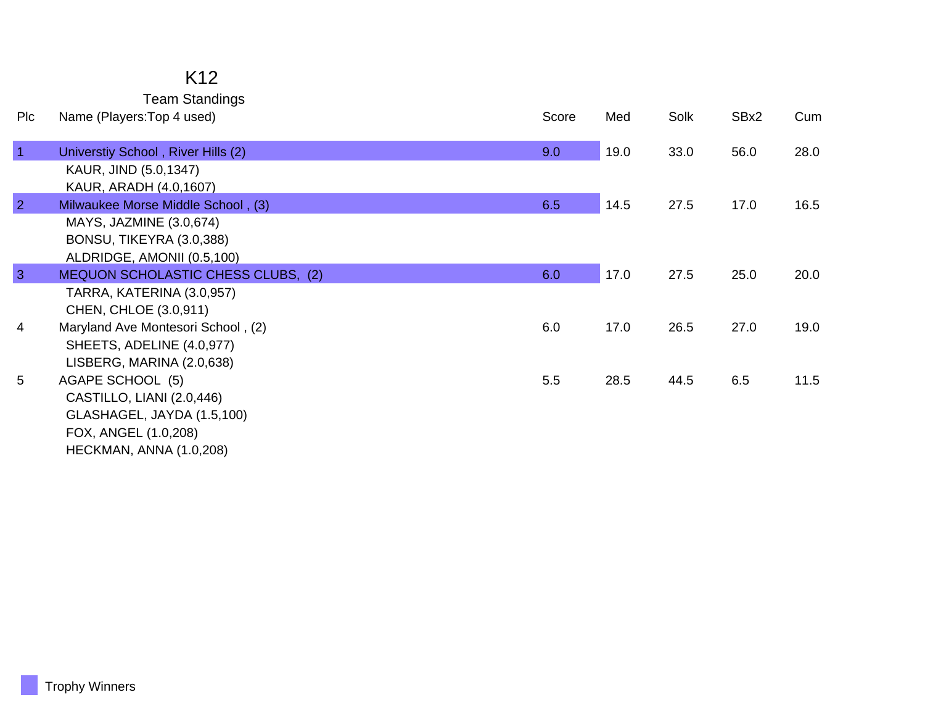## K12 Team Standings

| Pic            | Name (Players: Top 4 used)                                   | Score | Med  | Solk | SBx2 | Cum  |
|----------------|--------------------------------------------------------------|-------|------|------|------|------|
| $\vert$ 1      | Universtiy School, River Hills (2)                           | 9.0   | 19.0 | 33.0 | 56.0 | 28.0 |
|                | KAUR, JIND (5.0,1347)                                        |       |      |      |      |      |
| $\overline{2}$ | KAUR, ARADH (4.0,1607)<br>Milwaukee Morse Middle School, (3) | 6.5   | 14.5 | 27.5 | 17.0 | 16.5 |
|                | MAYS, JAZMINE (3.0,674)                                      |       |      |      |      |      |
|                | BONSU, TIKEYRA (3.0,388)                                     |       |      |      |      |      |
|                | ALDRIDGE, AMONII (0.5,100)                                   |       |      |      |      |      |
| 3              | MEQUON SCHOLASTIC CHESS CLUBS, (2)                           | 6.0   | 17.0 | 27.5 | 25.0 | 20.0 |
|                | TARRA, KATERINA (3.0,957)                                    |       |      |      |      |      |
|                | CHEN, CHLOE (3.0,911)                                        |       |      |      |      |      |
| $\overline{4}$ | Maryland Ave Montesori School, (2)                           | 6.0   | 17.0 | 26.5 | 27.0 | 19.0 |
|                | SHEETS, ADELINE (4.0,977)                                    |       |      |      |      |      |
|                | LISBERG, MARINA (2.0,638)                                    |       |      |      |      |      |
| 5              | AGAPE SCHOOL (5)                                             | 5.5   | 28.5 | 44.5 | 6.5  | 11.5 |
|                | CASTILLO, LIANI (2.0,446)                                    |       |      |      |      |      |
|                | GLASHAGEL, JAYDA (1.5,100)                                   |       |      |      |      |      |
|                | FOX, ANGEL (1.0,208)                                         |       |      |      |      |      |
|                | HECKMAN, ANNA (1.0,208)                                      |       |      |      |      |      |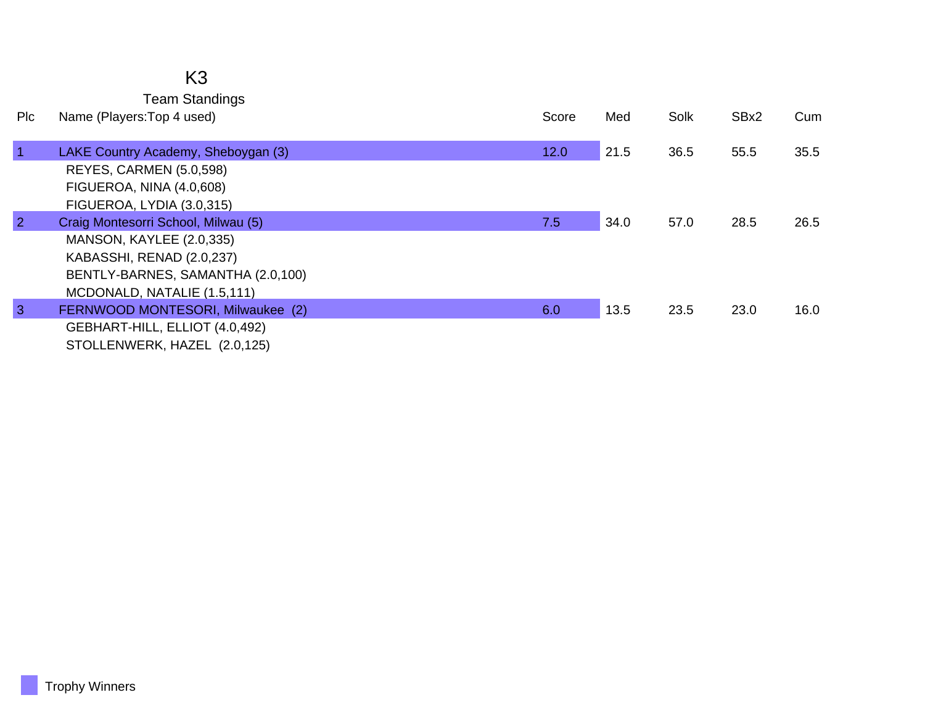## K3 Team Standings

| Plc            | Name (Players: Top 4 used)          | Score | Med  | Solk | SBx2 | Cum  |
|----------------|-------------------------------------|-------|------|------|------|------|
| $\vert$ 1      | LAKE Country Academy, Sheboygan (3) | 12.0  | 21.5 | 36.5 | 55.5 | 35.5 |
|                | REYES, CARMEN (5.0,598)             |       |      |      |      |      |
|                | FIGUEROA, NINA (4.0,608)            |       |      |      |      |      |
|                | FIGUEROA, LYDIA (3.0,315)           |       |      |      |      |      |
| $\overline{2}$ | Craig Montesorri School, Milwau (5) | 7.5   | 34.0 | 57.0 | 28.5 | 26.5 |
|                | MANSON, KAYLEE (2.0,335)            |       |      |      |      |      |
|                | KABASSHI, RENAD (2.0,237)           |       |      |      |      |      |
|                | BENTLY-BARNES, SAMANTHA (2.0,100)   |       |      |      |      |      |
|                | MCDONALD, NATALIE (1.5,111)         |       |      |      |      |      |
| $\mathbf{3}$   | FERNWOOD MONTESORI, Milwaukee (2)   | 6.0   | 13.5 | 23.5 | 23.0 | 16.0 |
|                | GEBHART-HILL, ELLIOT (4.0,492)      |       |      |      |      |      |
|                | STOLLENWERK, HAZEL (2.0,125)        |       |      |      |      |      |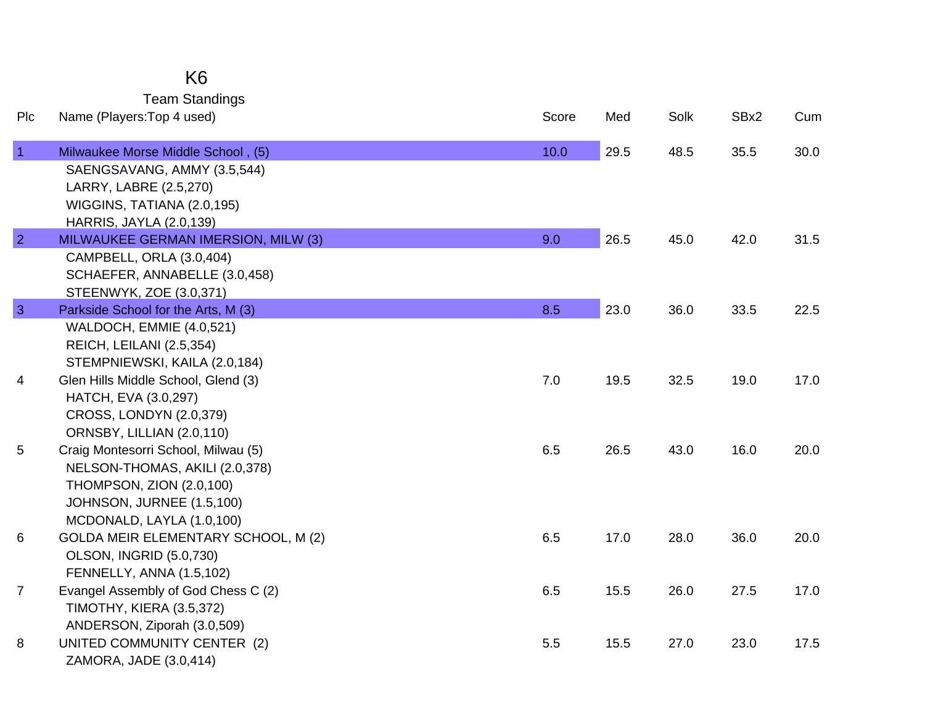| K6                    |
|-----------------------|
| <b>Team Standings</b> |

| Plc            | Name (Players: Top 4 used)                                                                                                                                  | Score | Med  | Solk | SBx2 | Cum  |
|----------------|-------------------------------------------------------------------------------------------------------------------------------------------------------------|-------|------|------|------|------|
| $\vert$ 1      | Milwaukee Morse Middle School, (5)<br>SAENGSAVANG, AMMY (3.5,544)<br>LARRY, LABRE (2.5,270)<br>WIGGINS, TATIANA (2.0,195)<br><b>HARRIS, JAYLA (2.0,139)</b> | 10.0  | 29.5 | 48.5 | 35.5 | 30.0 |
| $\overline{2}$ | MILWAUKEE GERMAN IMERSION, MILW (3)                                                                                                                         | 9.0   | 26.5 | 45.0 | 42.0 | 31.5 |
|                | CAMPBELL, ORLA (3.0,404)<br>SCHAEFER, ANNABELLE (3.0,458)<br>STEENWYK, ZOE (3.0,371)                                                                        |       |      |      |      |      |
| $\overline{3}$ | Parkside School for the Arts, M (3)                                                                                                                         | 8.5   | 23.0 | 36.0 | 33.5 | 22.5 |
|                | WALDOCH, EMMIE (4.0,521)<br>REICH, LEILANI (2.5,354)<br>STEMPNIEWSKI, KAILA (2.0,184)                                                                       |       |      |      |      |      |
| 4              | Glen Hills Middle School, Glend (3)<br>HATCH, EVA (3.0,297)<br><b>CROSS, LONDYN (2.0,379)</b><br>ORNSBY, LILLIAN (2.0,110)                                  | 7.0   | 19.5 | 32.5 | 19.0 | 17.0 |
| 5              | Craig Montesorri School, Milwau (5)<br>NELSON-THOMAS, AKILI (2.0,378)<br>THOMPSON, ZION (2.0,100)<br>JOHNSON, JURNEE (1.5,100)<br>MCDONALD, LAYLA (1.0,100) | 6.5   | 26.5 | 43.0 | 16.0 | 20.0 |
| 6              | GOLDA MEIR ELEMENTARY SCHOOL, M (2)<br><b>OLSON, INGRID (5.0,730)</b><br>FENNELLY, ANNA (1.5,102)                                                           | 6.5   | 17.0 | 28.0 | 36.0 | 20.0 |
| $\overline{7}$ | Evangel Assembly of God Chess C (2)<br><b>TIMOTHY, KIERA (3.5,372)</b><br>ANDERSON, Ziporah (3.0,509)                                                       | 6.5   | 15.5 | 26.0 | 27.5 | 17.0 |
| 8              | UNITED COMMUNITY CENTER (2)<br>ZAMORA, JADE (3.0,414)                                                                                                       | 5.5   | 15.5 | 27.0 | 23.0 | 17.5 |